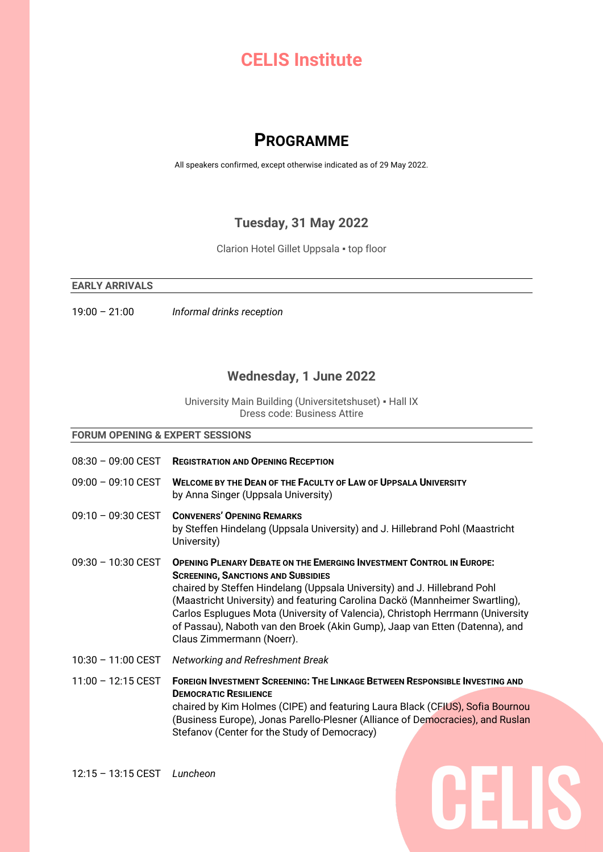# **CELIS Institute**

# **PROGRAMME**

All speakers confirmed, except otherwise indicated as of 29 May 2022.

## **Tuesday, 31 May 2022**

Clarion Hotel Gillet Uppsala ▪ top floor

#### **EARLY ARRIVALS**

19:00 – 21:00 *Informal drinks reception*

## **Wednesday, 1 June 2022**

University Main Building (Universitetshuset) ▪ Hall IX Dress code: Business Attire

#### **FORUM OPENING & EXPERT SESSIONS**

08:30 – 09:00 CEST **REGISTRATION AND OPENING RECEPTION** 09:00 – 09:10 CEST **WELCOME BY THE DEAN OF THE FACULTY OF LAW OF UPPSALA UNIVERSITY** by Anna Singer (Uppsala University) 09:10 – 09:30 CEST **CONVENERS' OPENING REMARKS** by Steffen Hindelang (Uppsala University) and J. Hillebrand Pohl (Maastricht University) 09:30 – 10:30 CEST **OPENING PLENARY DEBATE ON THE EMERGING INVESTMENT CONTROL IN EUROPE: SCREENING, SANCTIONS AND SUBSIDIES** chaired by Steffen Hindelang (Uppsala University) and J. Hillebrand Pohl (Maastricht University) and featuring Carolina Dackö (Mannheimer Swartling), Carlos Esplugues Mota (University of Valencia), Christoph Herrmann (University of Passau), Naboth van den Broek (Akin Gump), Jaap van Etten (Datenna), and Claus Zimmermann (Noerr). 10:30 – 11:00 CEST *Networking and Refreshment Break* 11:00 – 12:15 CEST **FOREIGN INVESTMENT SCREENING: THE LINKAGE BETWEEN RESPONSIBLE INVESTING AND DEMOCRATIC RESILIENCE** 

chaired by Kim Holmes (CIPE) and featuring Laura Black (CFIUS), Sofia Bournou (Business Europe), Jonas Parello-Plesner (Alliance of Democracies), and Ruslan Stefanov (Center for the Study of Democracy)

CELIS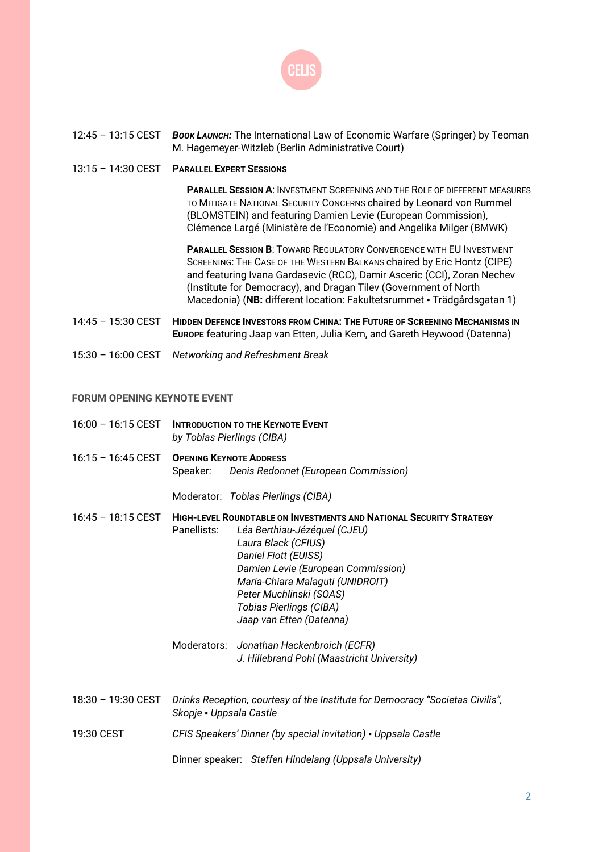

#### 12:45 – 13:15 CEST *BOOK LAUNCH:* The International Law of Economic Warfare (Springer) by Teoman M. Hagemeyer-Witzleb (Berlin Administrative Court)

13:15 – 14:30 CEST **PARALLEL EXPERT SESSIONS**

**PARALLEL SESSION A**: INVESTMENT SCREENING AND THE ROLE OF DIFFERENT MEASURES TO MITIGATE NATIONAL SECURITY CONCERNS chaired by Leonard von Rummel (BLOMSTEIN) and featuring Damien Levie (European Commission), Clémence Largé (Ministère de l'Economie) and Angelika Milger (BMWK)

**PARALLEL SESSION B**: TOWARD REGULATORY CONVERGENCE WITH EU INVESTMENT SCREENING: THE CASE OF THE WESTERN BALKANS chaired by Eric Hontz (CIPE) and featuring Ivana Gardasevic (RCC), Damir Asceric (CCI), Zoran Nechev (Institute for Democracy), and Dragan Tilev (Government of North Macedonia) (**NB:** different location: Fakultetsrummet ▪ Trädgårdsgatan 1)

- 14:45 15:30 CEST **HIDDEN DEFENCE INVESTORS FROM CHINA: THE FUTURE OF SCREENING MECHANISMS IN EUROPE** featuring Jaap van Etten, Julia Kern, and Gareth Heywood (Datenna)
- 15:30 16:00 CEST *Networking and Refreshment Break*

#### **FORUM OPENING KEYNOTE EVENT**

| $16:00 - 16:15$ CEST         | <b>INTRODUCTION TO THE KEYNOTE EVENT</b><br>by Tobias Pierlings (CIBA)                                   |                                                                                                                                                                                                                                                                                                                       |
|------------------------------|----------------------------------------------------------------------------------------------------------|-----------------------------------------------------------------------------------------------------------------------------------------------------------------------------------------------------------------------------------------------------------------------------------------------------------------------|
| $16:15 - 16:45$ CEST         | Speaker:                                                                                                 | <b>OPENING KEYNOTE ADDRESS</b><br>Denis Redonnet (European Commission)                                                                                                                                                                                                                                                |
|                              |                                                                                                          | Moderator: Tobias Pierlings (CIBA)                                                                                                                                                                                                                                                                                    |
| $16:45 - 18:15 \text{ CEST}$ | Panellists:                                                                                              | <b>HIGH-LEVEL ROUNDTABLE ON INVESTMENTS AND NATIONAL SECURITY STRATEGY</b><br>Léa Berthiau-Jézéquel (CJEU)<br>Laura Black (CFIUS)<br>Daniel Fiott (EUISS)<br>Damien Levie (European Commission)<br>Maria-Chiara Malaguti (UNIDROIT)<br>Peter Muchlinski (SOAS)<br>Tobias Pierlings (CIBA)<br>Jaap van Etten (Datenna) |
|                              |                                                                                                          | Moderators: Jonathan Hackenbroich (ECFR)<br>J. Hillebrand Pohl (Maastricht University)                                                                                                                                                                                                                                |
| 18:30 - 19:30 CEST           | Drinks Reception, courtesy of the Institute for Democracy "Societas Civilis",<br>Skopje - Uppsala Castle |                                                                                                                                                                                                                                                                                                                       |
| 19:30 CEST                   |                                                                                                          | CFIS Speakers' Dinner (by special invitation) - Uppsala Castle                                                                                                                                                                                                                                                        |
|                              |                                                                                                          | Dinner speaker: Steffen Hindelang (Uppsala University)                                                                                                                                                                                                                                                                |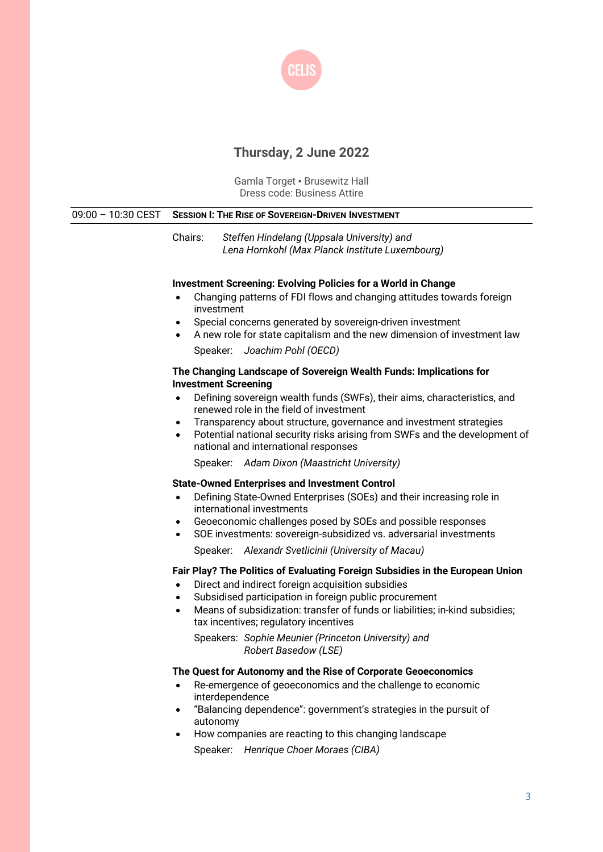

# **Thursday, 2 June 2022**

Gamla Torget ▪ Brusewitz Hall Dress code: Business Attire

| $09:00 - 10:30$ CEST | <b>SESSION I: THE RISE OF SOVEREIGN-DRIVEN INVESTMENT</b>                                                                                                                                                                                                                                                                                                                                                                                                                                                  |  |  |
|----------------------|------------------------------------------------------------------------------------------------------------------------------------------------------------------------------------------------------------------------------------------------------------------------------------------------------------------------------------------------------------------------------------------------------------------------------------------------------------------------------------------------------------|--|--|
|                      | Chairs:<br>Steffen Hindelang (Uppsala University) and<br>Lena Hornkohl (Max Planck Institute Luxembourg)                                                                                                                                                                                                                                                                                                                                                                                                   |  |  |
|                      | <b>Investment Screening: Evolving Policies for a World in Change</b><br>Changing patterns of FDI flows and changing attitudes towards foreign<br>investment<br>Special concerns generated by sovereign-driven investment<br>$\bullet$<br>A new role for state capitalism and the new dimension of investment law<br>$\bullet$<br>Speaker: Joachim Pohl (OECD)                                                                                                                                              |  |  |
|                      | The Changing Landscape of Sovereign Wealth Funds: Implications for<br><b>Investment Screening</b><br>Defining sovereign wealth funds (SWFs), their aims, characteristics, and<br>$\bullet$<br>renewed role in the field of investment<br>Transparency about structure, governance and investment strategies<br>$\bullet$<br>Potential national security risks arising from SWFs and the development of<br>$\bullet$<br>national and international responses<br>Speaker: Adam Dixon (Maastricht University) |  |  |
|                      | <b>State-Owned Enterprises and Investment Control</b><br>Defining State-Owned Enterprises (SOEs) and their increasing role in<br>$\bullet$<br>international investments<br>Geoeconomic challenges posed by SOEs and possible responses<br>$\bullet$<br>SOE investments: sovereign-subsidized vs. adversarial investments<br>$\bullet$<br>Speaker: Alexandr Svetlicinii (University of Macau)                                                                                                               |  |  |
|                      | Fair Play? The Politics of Evaluating Foreign Subsidies in the European Union<br>Direct and indirect foreign acquisition subsidies<br>Subsidised participation in foreign public procurement<br>$\bullet$<br>Means of subsidization: transfer of funds or liabilities; in-kind subsidies;<br>$\bullet$<br>tax incentives; regulatory incentives<br>Speakers: Sophie Meunier (Princeton University) and<br>Robert Basedow (LSE)                                                                             |  |  |
|                      | The Quest for Autonomy and the Rise of Corporate Geoeconomics<br>Re-emergence of geoeconomics and the challenge to economic<br>$\bullet$                                                                                                                                                                                                                                                                                                                                                                   |  |  |

- interdependence • "Balancing dependence": government's strategies in the pursuit of autonomy
- How companies are reacting to this changing landscape Speaker: *Henrique Choer Moraes (CIBA)*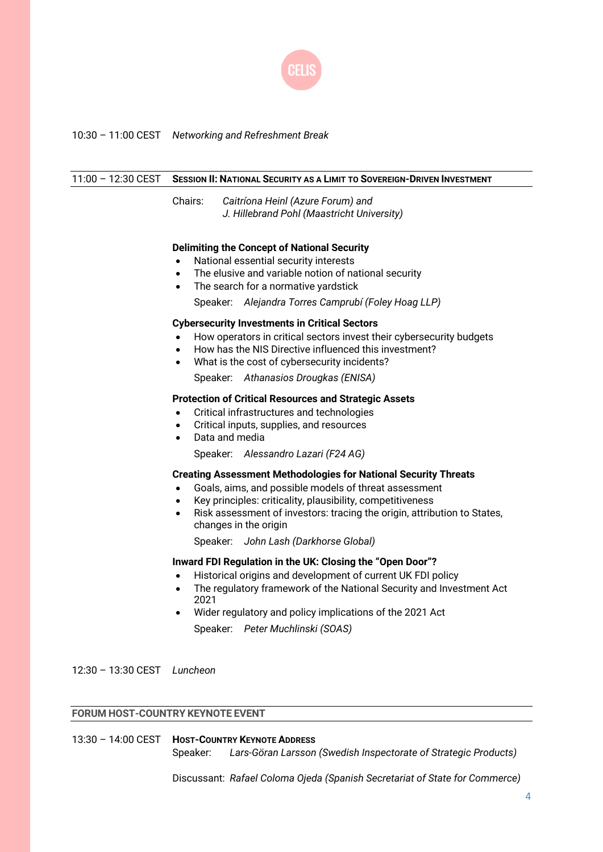

## 10:30 – 11:00 CEST *Networking and Refreshment Break*

| $11:00 - 12:30$ CEST        | <b>SESSION II: NATIONAL SECURITY AS A LIMIT TO SOVEREIGN-DRIVEN INVESTMENT</b>                                                                                                                                                                                                                                                                                                                                                                                                                                                                                                                       |  |  |
|-----------------------------|------------------------------------------------------------------------------------------------------------------------------------------------------------------------------------------------------------------------------------------------------------------------------------------------------------------------------------------------------------------------------------------------------------------------------------------------------------------------------------------------------------------------------------------------------------------------------------------------------|--|--|
|                             | Chairs:<br>Caitríona Heinl (Azure Forum) and<br>J. Hillebrand Pohl (Maastricht University)                                                                                                                                                                                                                                                                                                                                                                                                                                                                                                           |  |  |
|                             | <b>Delimiting the Concept of National Security</b><br>National essential security interests<br>$\bullet$<br>The elusive and variable notion of national security<br>$\bullet$<br>The search for a normative yardstick<br>$\bullet$<br>Speaker: Alejandra Torres Camprubí (Foley Hoag LLP)<br><b>Cybersecurity Investments in Critical Sectors</b><br>How operators in critical sectors invest their cybersecurity budgets<br>How has the NIS Directive influenced this investment?<br>$\bullet$<br>What is the cost of cybersecurity incidents?<br>$\bullet$<br>Speaker: Athanasios Drougkas (ENISA) |  |  |
|                             | <b>Protection of Critical Resources and Strategic Assets</b><br>Critical infrastructures and technologies<br>$\bullet$<br>Critical inputs, supplies, and resources<br>$\bullet$<br>Data and media<br>$\bullet$<br>Speaker: Alessandro Lazari (F24 AG)                                                                                                                                                                                                                                                                                                                                                |  |  |
|                             | <b>Creating Assessment Methodologies for National Security Threats</b><br>Goals, aims, and possible models of threat assessment<br>Key principles: criticality, plausibility, competitiveness<br>$\bullet$<br>Risk assessment of investors: tracing the origin, attribution to States,<br>$\bullet$<br>changes in the origin<br>Speaker: John Lash (Darkhorse Global)                                                                                                                                                                                                                                |  |  |
|                             | Inward FDI Regulation in the UK: Closing the "Open Door"?<br>Historical origins and development of current UK FDI policy<br>$\bullet$<br>The regulatory framework of the National Security and Investment Act<br>$\bullet$<br>2021<br>Wider regulatory and policy implications of the 2021 Act<br>$\bullet$<br>Speaker: Peter Muchlinski (SOAS)                                                                                                                                                                                                                                                      |  |  |
| 12:30 - 13:30 CEST Luncheon |                                                                                                                                                                                                                                                                                                                                                                                                                                                                                                                                                                                                      |  |  |

## **FORUM HOST-COUNTRY KEYNOTE EVENT**

### 13:30 – 14:00 CEST **HOST-COUNTRY KEYNOTE ADDRESS** Speaker: *Lars-Göran Larsson (Swedish Inspectorate of Strategic Products)*

Discussant: *Rafael Coloma Ojeda (Spanish Secretariat of State for Commerce)*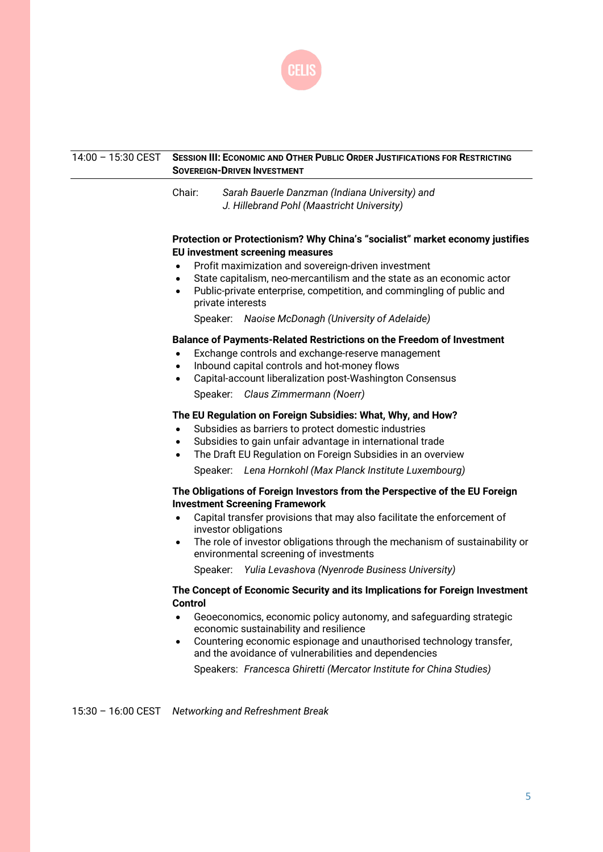

| 14:00 - 15:30 CEST   | <b>SESSION III: ECONOMIC AND OTHER PUBLIC ORDER JUSTIFICATIONS FOR RESTRICTING</b><br><b>SOVEREIGN-DRIVEN INVESTMENT</b> |                                                                                                                                                                                                                                                                                                                                                                                                             |  |
|----------------------|--------------------------------------------------------------------------------------------------------------------------|-------------------------------------------------------------------------------------------------------------------------------------------------------------------------------------------------------------------------------------------------------------------------------------------------------------------------------------------------------------------------------------------------------------|--|
|                      | Chair:                                                                                                                   | Sarah Bauerle Danzman (Indiana University) and<br>J. Hillebrand Pohl (Maastricht University)                                                                                                                                                                                                                                                                                                                |  |
|                      | $\bullet$<br>$\bullet$<br>$\bullet$                                                                                      | Protection or Protectionism? Why China's "socialist" market economy justifies<br>EU investment screening measures<br>Profit maximization and sovereign-driven investment<br>State capitalism, neo-mercantilism and the state as an economic actor<br>Public-private enterprise, competition, and commingling of public and<br>private interests<br>Speaker: Naoise McDonagh (University of Adelaide)        |  |
| ٠                    |                                                                                                                          | <b>Balance of Payments-Related Restrictions on the Freedom of Investment</b><br>Exchange controls and exchange-reserve management<br>Inbound capital controls and hot-money flows<br>Capital-account liberalization post-Washington Consensus<br>Speaker: Claus Zimmermann (Noerr)                                                                                                                          |  |
|                      | ٠<br>$\bullet$<br>$\bullet$                                                                                              | The EU Regulation on Foreign Subsidies: What, Why, and How?<br>Subsidies as barriers to protect domestic industries<br>Subsidies to gain unfair advantage in international trade<br>The Draft EU Regulation on Foreign Subsidies in an overview<br>Speaker: Lena Hornkohl (Max Planck Institute Luxembourg)                                                                                                 |  |
|                      | $\bullet$<br>٠                                                                                                           | The Obligations of Foreign Investors from the Perspective of the EU Foreign<br><b>Investment Screening Framework</b><br>Capital transfer provisions that may also facilitate the enforcement of<br>investor obligations<br>The role of investor obligations through the mechanism of sustainability or<br>environmental screening of investments<br>Speaker: Yulia Levashova (Nyenrode Business University) |  |
|                      | <b>Control</b><br>٠                                                                                                      | The Concept of Economic Security and its Implications for Foreign Investment<br>Geoeconomics, economic policy autonomy, and safeguarding strategic<br>economic sustainability and resilience<br>Countering economic espionage and unauthorised technology transfer,<br>and the avoidance of vulnerabilities and dependencies<br>Speakers: Francesca Ghiretti (Mercator Institute for China Studies)         |  |
| $15:30 - 16:00$ CEST |                                                                                                                          | Networking and Refreshment Break                                                                                                                                                                                                                                                                                                                                                                            |  |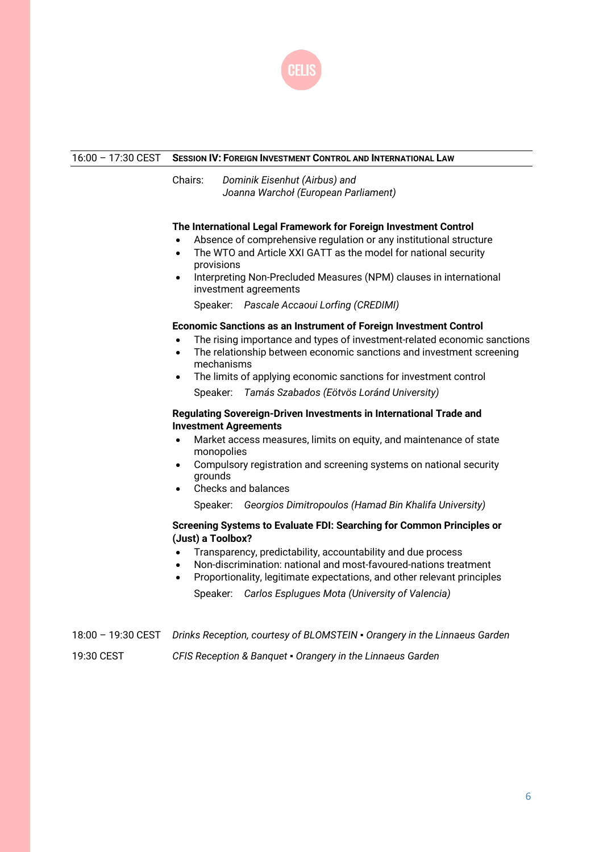

#### 16:00 – 17:30 CEST **SESSION IV: FOREIGN INVESTMENT CONTROL AND INTERNATIONAL LAW**

Chairs: *Dominik Eisenhut (Airbus) and Joanna Warchoł (European Parliament)*

#### **The International Legal Framework for Foreign Investment Control**

- Absence of comprehensive regulation or any institutional structure
- The WTO and Article XXI GATT as the model for national security provisions
- Interpreting Non-Precluded Measures (NPM) clauses in international investment agreements

Speaker: *Pascale Accaoui Lorfing (CREDIMI)*

#### **Economic Sanctions as an Instrument of Foreign Investment Control**

- The rising importance and types of investment-related economic sanctions
- The relationship between economic sanctions and investment screening mechanisms
- The limits of applying economic sanctions for investment control Speaker: *Tamás Szabados (Eötvös Loránd University)*

#### **Regulating Sovereign-Driven Investments in International Trade and Investment Agreements**

- Market access measures, limits on equity, and maintenance of state monopolies
- Compulsory registration and screening systems on national security grounds
- Checks and balances

Speaker: *Georgios Dimitropoulos (Hamad Bin Khalifa University)*

#### **Screening Systems to Evaluate FDI: Searching for Common Principles or (Just) a Toolbox?**

- Transparency, predictability, accountability and due process
- Non-discrimination: national and most-favoured-nations treatment
- Proportionality, legitimate expectations, and other relevant principles Speaker: *Carlos Esplugues Mota (University of Valencia)*

18:00 – 19:30 CEST *Drinks Reception, courtesy of BLOMSTEIN ▪ Orangery in the Linnaeus Garden* 19:30 CEST *CFIS Reception & Banquet ▪ Orangery in the Linnaeus Garden*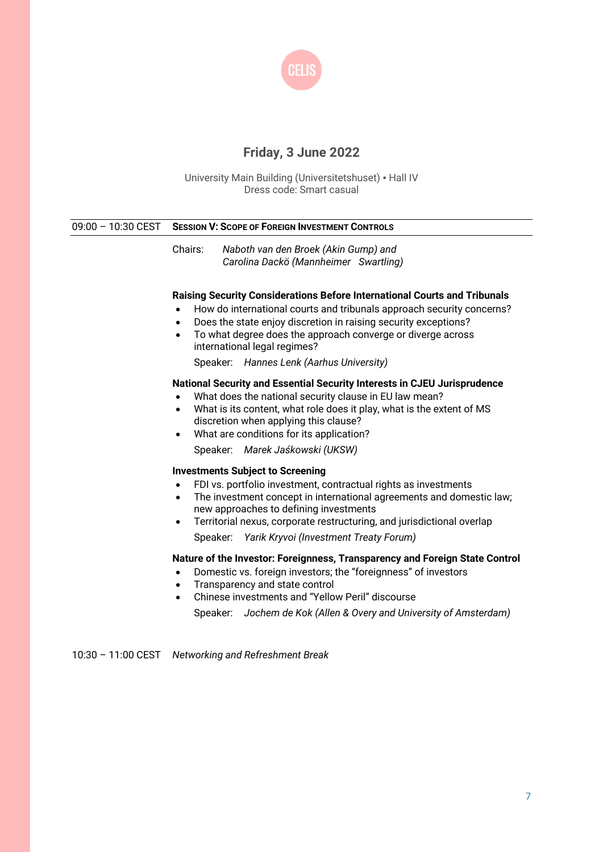

# **Friday, 3 June 2022**

University Main Building (Universitetshuset) ▪ Hall IV Dress code: Smart casual

| $09:00 - 10:30$ CEST | <b>SESSION V: SCOPE OF FOREIGN INVESTMENT CONTROLS</b>                                                                                                                                                                                                                                                                                                                                           |
|----------------------|--------------------------------------------------------------------------------------------------------------------------------------------------------------------------------------------------------------------------------------------------------------------------------------------------------------------------------------------------------------------------------------------------|
|                      | Chairs:<br>Naboth van den Broek (Akin Gump) and<br>Carolina Dackö (Mannheimer Swartling)                                                                                                                                                                                                                                                                                                         |
|                      | Raising Security Considerations Before International Courts and Tribunals<br>How do international courts and tribunals approach security concerns?<br>Does the state enjoy discretion in raising security exceptions?<br>$\bullet$<br>To what degree does the approach converge or diverge across<br>$\bullet$<br>international legal regimes?<br>Speaker: Hannes Lenk (Aarhus University)       |
|                      | National Security and Essential Security Interests in CJEU Jurisprudence<br>What does the national security clause in EU law mean?<br>What is its content, what role does it play, what is the extent of MS<br>$\bullet$<br>discretion when applying this clause?<br>What are conditions for its application?<br>$\bullet$<br>Speaker: Marek Jaśkowski (UKSW)                                    |
|                      | <b>Investments Subject to Screening</b><br>FDI vs. portfolio investment, contractual rights as investments<br>$\bullet$<br>The investment concept in international agreements and domestic law;<br>$\bullet$<br>new approaches to defining investments<br>Territorial nexus, corporate restructuring, and jurisdictional overlap<br>$\bullet$<br>Speaker: Yarik Kryvoi (Investment Treaty Forum) |
|                      | Nature of the Investor: Foreignness, Transparency and Foreign State Control<br>Domestic vs. foreign investors; the "foreignness" of investors<br>$\bullet$<br>Transparency and state control<br>$\bullet$<br>Chinese investments and "Yellow Peril" discourse<br>$\bullet$<br>Speaker: Jochem de Kok (Allen & Overy and University of Amsterdam)                                                 |
| $10:30 - 11:00$ CEST | Networking and Refreshment Break                                                                                                                                                                                                                                                                                                                                                                 |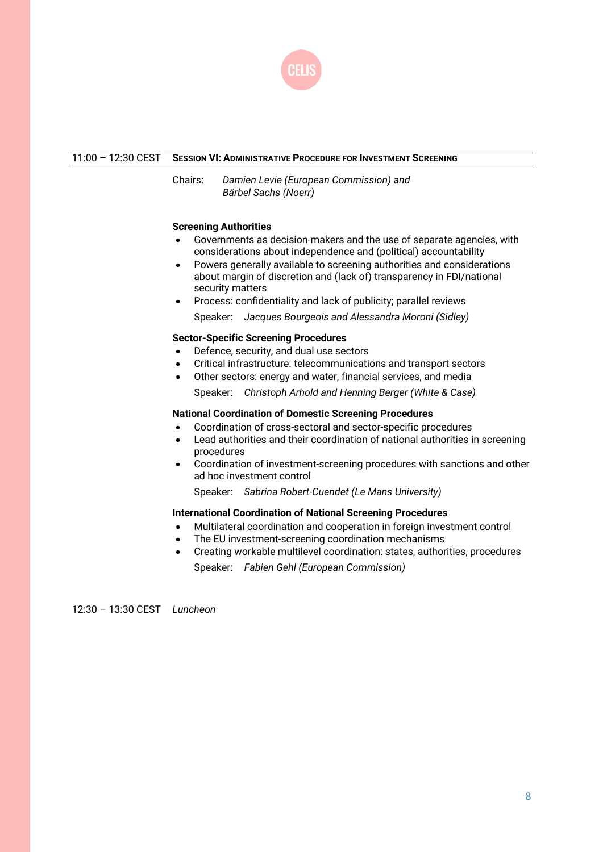

#### 11:00 – 12:30 CEST **SESSION VI: ADMINISTRATIVE PROCEDURE FOR INVESTMENT SCREENING**

Chairs: *Damien Levie (European Commission) and Bärbel Sachs (Noerr)*

#### **Screening Authorities**

- Governments as decision-makers and the use of separate agencies, with considerations about independence and (political) accountability
- Powers generally available to screening authorities and considerations about margin of discretion and (lack of) transparency in FDI/national security matters
- Process: confidentiality and lack of publicity; parallel reviews

Speaker: *Jacques Bourgeois and Alessandra Moroni (Sidley)*

#### **Sector-Specific Screening Procedures**

- Defence, security, and dual use sectors
- Critical infrastructure: telecommunications and transport sectors
- Other sectors: energy and water, financial services, and media

Speaker: *Christoph Arhold and Henning Berger (White & Case)*

#### **National Coordination of Domestic Screening Procedures**

- Coordination of cross-sectoral and sector-specific procedures
- Lead authorities and their coordination of national authorities in screening procedures
- Coordination of investment-screening procedures with sanctions and other ad hoc investment control

Speaker: *Sabrina Robert-Cuendet (Le Mans University)*

#### **International Coordination of National Screening Procedures**

- Multilateral coordination and cooperation in foreign investment control
- The EU investment-screening coordination mechanisms
- Creating workable multilevel coordination: states, authorities, procedures Speaker: *Fabien Gehl (European Commission)*

12:30 – 13:30 CEST *Luncheon*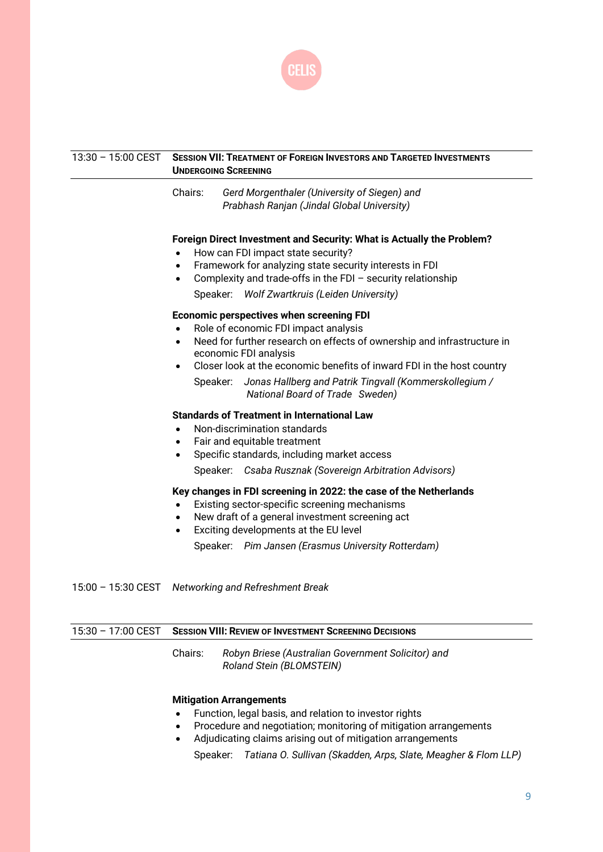

| 13:30 - 15:00 CEST | <b>SESSION VII: TREATMENT OF FOREIGN INVESTORS AND TARGETED INVESTMENTS</b><br><b>UNDERGOING SCREENING</b>                                                                                                                                                                                                                                                                                                                                                                                                                                                                                                            |  |  |
|--------------------|-----------------------------------------------------------------------------------------------------------------------------------------------------------------------------------------------------------------------------------------------------------------------------------------------------------------------------------------------------------------------------------------------------------------------------------------------------------------------------------------------------------------------------------------------------------------------------------------------------------------------|--|--|
|                    | Gerd Morgenthaler (University of Siegen) and<br>Chairs:<br>Prabhash Ranjan (Jindal Global University)                                                                                                                                                                                                                                                                                                                                                                                                                                                                                                                 |  |  |
|                    | Foreign Direct Investment and Security: What is Actually the Problem?<br>How can FDI impact state security?<br>Framework for analyzing state security interests in FDI<br>$\bullet$<br>Complexity and trade-offs in the FDI $-$ security relationship<br>$\bullet$<br>Speaker: Wolf Zwartkruis (Leiden University)<br><b>Economic perspectives when screening FDI</b><br>Role of economic FDI impact analysis<br>Need for further research on effects of ownership and infrastructure in<br>$\bullet$<br>economic FDI analysis<br>Closer look at the economic benefits of inward FDI in the host country<br>$\bullet$ |  |  |
|                    | Speaker: Jonas Hallberg and Patrik Tingvall (Kommerskollegium /<br>National Board of Trade Sweden)                                                                                                                                                                                                                                                                                                                                                                                                                                                                                                                    |  |  |
|                    | <b>Standards of Treatment in International Law</b><br>Non-discrimination standards<br>$\bullet$<br>Fair and equitable treatment<br>$\bullet$<br>Specific standards, including market access<br>$\bullet$<br>Speaker: Csaba Rusznak (Sovereign Arbitration Advisors)                                                                                                                                                                                                                                                                                                                                                   |  |  |
|                    | Key changes in FDI screening in 2022: the case of the Netherlands<br>Existing sector-specific screening mechanisms<br>New draft of a general investment screening act<br>Exciting developments at the EU level<br>$\bullet$<br>Speaker: Pim Jansen (Erasmus University Rotterdam)                                                                                                                                                                                                                                                                                                                                     |  |  |

15:00 – 15:30 CEST *Networking and Refreshment Break*

| $15:30 - 17:00$ CEST |         | <b>SESSION VIII: REVIEW OF INVESTMENT SCREENING DECISIONS</b>                  |  |
|----------------------|---------|--------------------------------------------------------------------------------|--|
|                      | Chairs: | Robyn Briese (Australian Government Solicitor) and<br>Roland Stein (BLOMSTEIN) |  |
|                      |         | <b>Mitigation Arrangements</b>                                                 |  |

- Function, legal basis, and relation to investor rights
- Procedure and negotiation; monitoring of mitigation arrangements
- Adjudicating claims arising out of mitigation arrangements

Speaker: *Tatiana O. Sullivan (Skadden, Arps, Slate, Meagher & Flom LLP)*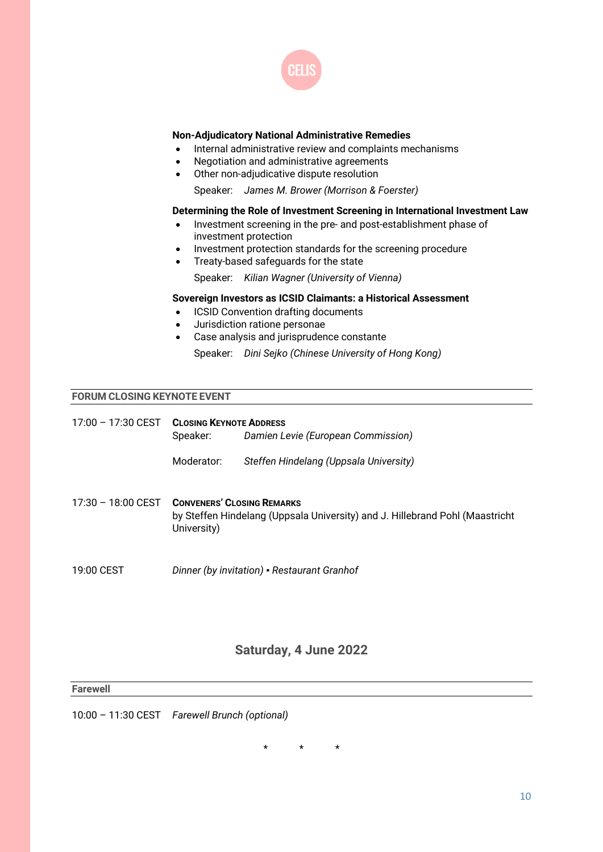

#### **Non-Adjudicatory National Administrative Remedies**

- Internal administrative review and complaints mechanisms
- Negotiation and administrative agreements
- Other non-adjudicative dispute resolution

Speaker: *James M. Brower (Morrison & Foerster)*

#### **Determining the Role of Investment Screening in International Investment Law**

- Investment screening in the pre- and post-establishment phase of investment protection
- Investment protection standards for the screening procedure
- Treaty-based safeguards for the state Speaker: *Kilian Wagner (University of Vienna)*

#### **Sovereign Investors as ICSID Claimants: a Historical Assessment**

- **ICSID Convention drafting documents**
- Jurisdiction ratione personae
- Case analysis and jurisprudence constante

Speaker: *Dini Sejko (Chinese University of Hong Kong)*

#### **FORUM CLOSING KEYNOTE EVENT**

| 17:00 - 17:30 CEST | <b>CLOSING KEYNOTE ADDRESS</b><br>Speaker:                                                                                       | Damien Levie (European Commission)          |
|--------------------|----------------------------------------------------------------------------------------------------------------------------------|---------------------------------------------|
|                    | Moderator:                                                                                                                       | Steffen Hindelang (Uppsala University)      |
| 17:30 - 18:00 CEST | <b>CONVENERS' CLOSING REMARKS</b><br>by Steffen Hindelang (Uppsala University) and J. Hillebrand Pohl (Maastricht<br>University) |                                             |
| 19:00 CEST         |                                                                                                                                  | Dinner (by invitation) - Restaurant Granhof |

## **Saturday, 4 June 2022**

**Farewell**

10:00 – 11:30 CEST *Farewell Brunch (optional)*

\* \* \*